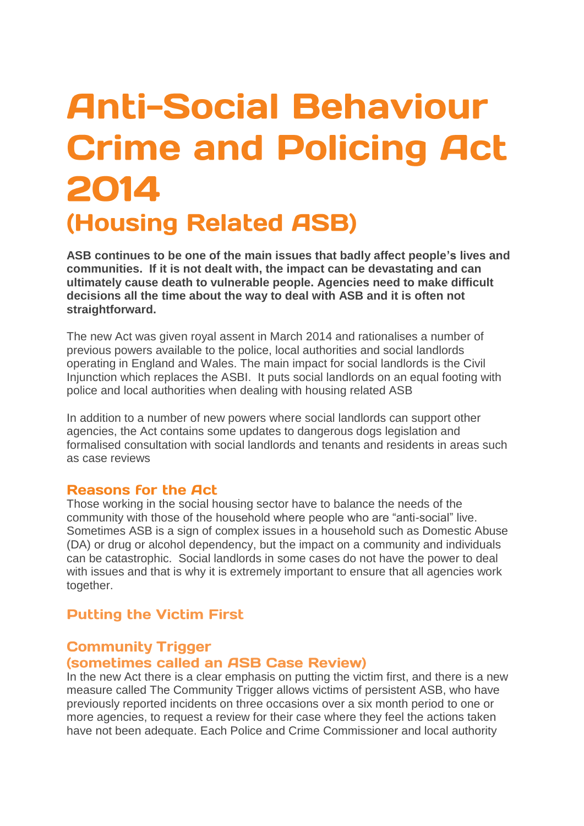# **Anti-Social Behaviour Crime and Policing Act** 2014 **(Housing Related ASB)**

**ASB continues to be one of the main issues that badly affect people's lives and communities. If it is not dealt with, the impact can be devastating and can ultimately cause death to vulnerable people. Agencies need to make difficult decisions all the time about the way to deal with ASB and it is often not straightforward.** 

The new Act was given royal assent in March 2014 and rationalises a number of previous powers available to the police, local authorities and social landlords operating in England and Wales. The main impact for social landlords is the Civil Injunction which replaces the ASBI. It puts social landlords on an equal footing with police and local authorities when dealing with housing related ASB

In addition to a number of new powers where social landlords can support other agencies, the Act contains some updates to dangerous dogs legislation and formalised consultation with social landlords and tenants and residents in areas such as case reviews

#### **Reasons for the Act**

Those working in the social housing sector have to balance the needs of the community with those of the household where people who are "anti-social" live. Sometimes ASB is a sign of complex issues in a household such as Domestic Abuse (DA) or drug or alcohol dependency, but the impact on a community and individuals can be catastrophic. Social landlords in some cases do not have the power to deal with issues and that is why it is extremely important to ensure that all agencies work together.

### **Putting the Victim First**

### **Community Trigger** (sometimes called an ASB Case Review)

In the new Act there is a clear emphasis on putting the victim first, and there is a new measure called The Community Trigger allows victims of persistent ASB, who have previously reported incidents on three occasions over a six month period to one or more agencies, to request a review for their case where they feel the actions taken have not been adequate. Each Police and Crime Commissioner and local authority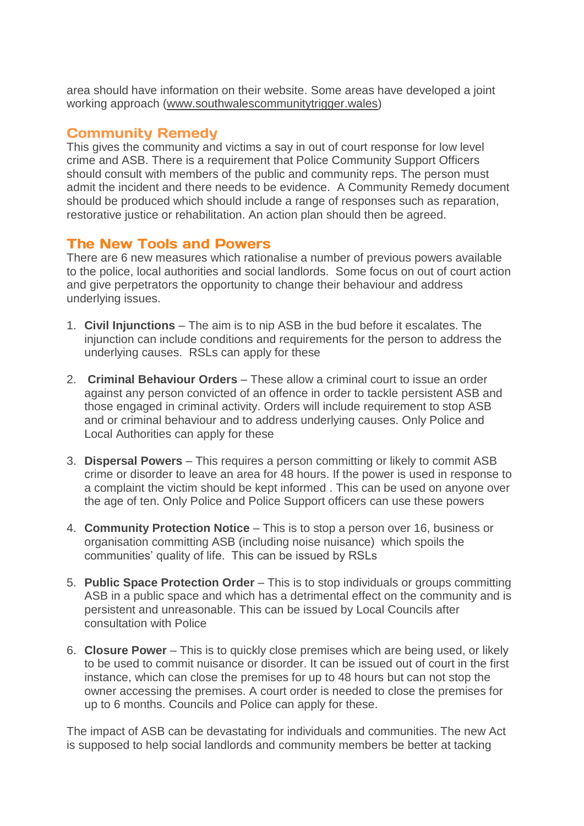area should have information on their website. Some areas have developed a joint working approach [\(www.southwalescommunitytrigger.wales\)](http://www.southwalescommunitytrigger.wales/)

# **Community Remedy**

This gives the community and victims a say in out of court response for low level crime and ASB. There is a requirement that Police Community Support Officers should consult with members of the public and community reps. The person must admit the incident and there needs to be evidence. A Community Remedy document should be produced which should include a range of responses such as reparation, restorative justice or rehabilitation. An action plan should then be agreed.

# **The New Tools and Powers**

There are 6 new measures which rationalise a number of previous powers available to the police, local authorities and social landlords. Some focus on out of court action and give perpetrators the opportunity to change their behaviour and address underlying issues.

- 1. **Civil Injunctions** The aim is to nip ASB in the bud before it escalates. The injunction can include conditions and requirements for the person to address the underlying causes. RSLs can apply for these
- 2. **Criminal Behaviour Orders** These allow a criminal court to issue an order against any person convicted of an offence in order to tackle persistent ASB and those engaged in criminal activity. Orders will include requirement to stop ASB and or criminal behaviour and to address underlying causes. Only Police and Local Authorities can apply for these
- 3. **Dispersal Powers** This requires a person committing or likely to commit ASB crime or disorder to leave an area for 48 hours. If the power is used in response to a complaint the victim should be kept informed . This can be used on anyone over the age of ten. Only Police and Police Support officers can use these powers
- 4. **Community Protection Notice** This is to stop a person over 16, business or organisation committing ASB (including noise nuisance) which spoils the communities' quality of life. This can be issued by RSLs
- 5. **Public Space Protection Order** This is to stop individuals or groups committing ASB in a public space and which has a detrimental effect on the community and is persistent and unreasonable. This can be issued by Local Councils after consultation with Police
- 6. **Closure Power** This is to quickly close premises which are being used, or likely to be used to commit nuisance or disorder. It can be issued out of court in the first instance, which can close the premises for up to 48 hours but can not stop the owner accessing the premises. A court order is needed to close the premises for up to 6 months. Councils and Police can apply for these.

The impact of ASB can be devastating for individuals and communities. The new Act is supposed to help social landlords and community members be better at tacking